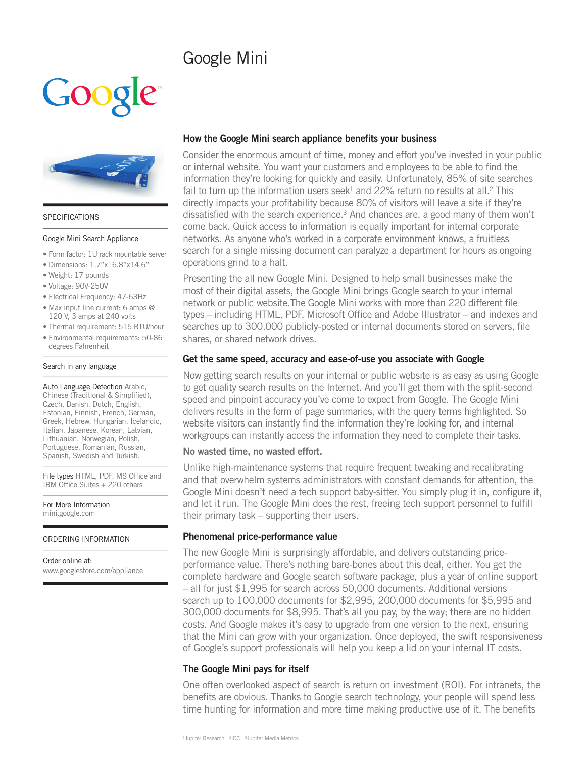# Google Mini





#### SPECIFICATIONS

#### Google Mini Search Appliance

- Form factor: 1U rack mountable server
- Dimensions: 1.7"x16.8"x14.6"
- Weight: 17 pounds
- Voltage: 90V-250V
- Electrical Frequency: 47-63Hz
- Max input line current: 6 amps @ 120 V, 3 amps at 240 volts
- Thermal requirement: 515 BTU/hour
- Environmental requirements: 50-86 degrees Fahrenheit

#### Search in any language

Auto Language Detection Arabic, Chinese (Traditional & Simplified), Czech, Danish, Dutch, English, Estonian, Finnish, French, German, Greek, Hebrew, Hungarian, Icelandic, Italian, Japanese, Korean, Latvian, Lithuanian, Norwegian, Polish, Portuguese, Romanian, Russian, Spanish, Swedish and Turkish.

File types HTML, PDF, MS Office and IBM Office Suites + 220 others

For More Information mini.google.com

#### ORDERING INFORMATION

Order online at: www.googlestore.com/appliance

# How the Google Mini search appliance benefits your business

Consider the enormous amount of time, money and effort you've invested in your public or internal website. You want your customers and employees to be able to find the information they're looking for quickly and easily. Unfortunately, 85% of site searches fail to turn up the information users seek<sup>1</sup> and 22% return no results at all.<sup>2</sup> This directly impacts your profitability because 80% of visitors will leave a site if they're dissatisfied with the search experience.<sup>3</sup> And chances are, a good many of them won't come back. Quick access to information is equally important for internal corporate networks. As anyone who's worked in a corporate environment knows, a fruitless search for a single missing document can paralyze a department for hours as ongoing operations grind to a halt.

Presenting the all new Google Mini. Designed to help small businesses make the most of their digital assets, the Google Mini brings Google search to your internal network or public website. The Google Mini works with more than 220 different file types – including HTML, PDF, Microsoft Office and Adobe Illustrator – and indexes and searches up to 300,000 publicly-posted or internal documents stored on servers, file shares, or shared network drives.

## Get the same speed, accuracy and ease-of-use you associate with Google

Now getting search results on your internal or public website is as easy as using Google to get quality search results on the Internet. And you'll get them with the split-second speed and pinpoint accuracy you've come to expect from Google. The Google Mini delivers results in the form of page summaries, with the query terms highlighted. So website visitors can instantly find the information they're looking for, and internal workgroups can instantly access the information they need to complete their tasks.

## No wasted time, no wasted effort.

Unlike high-maintenance systems that require frequent tweaking and recalibrating and that overwhelm systems administrators with constant demands for attention, the Google Mini doesn't need a tech support baby-sitter. You simply plug it in, configure it, and let it run. The Google Mini does the rest, freeing tech support personnel to fulfill their primary task – supporting their users.

# Phenomenal price-performance value

The new Google Mini is surprisingly affordable, and delivers outstanding priceperformance value. There's nothing bare-bones about this deal, either. You get the complete hardware and Google search software package, plus a year of online support – all for just \$1,995 for search across 50,000 documents. Additional versions search up to 100,000 documents for \$2,995, 200,000 documents for \$5,995 and 300,000 documents for \$8,995. That's all you pay, by the way; there are no hidden costs. And Google makes it's easy to upgrade from one version to the next, ensuring that the Mini can grow with your organization. Once deployed, the swift responsiveness of Google's support professionals will help you keep a lid on your internal IT costs.

# The Google Mini pays for itself

One often overlooked aspect of search is return on investment (ROI). For intranets, the benefits are obvious. Thanks to Google search technology, your people will spend less time hunting for information and more time making productive use of it. The benefits